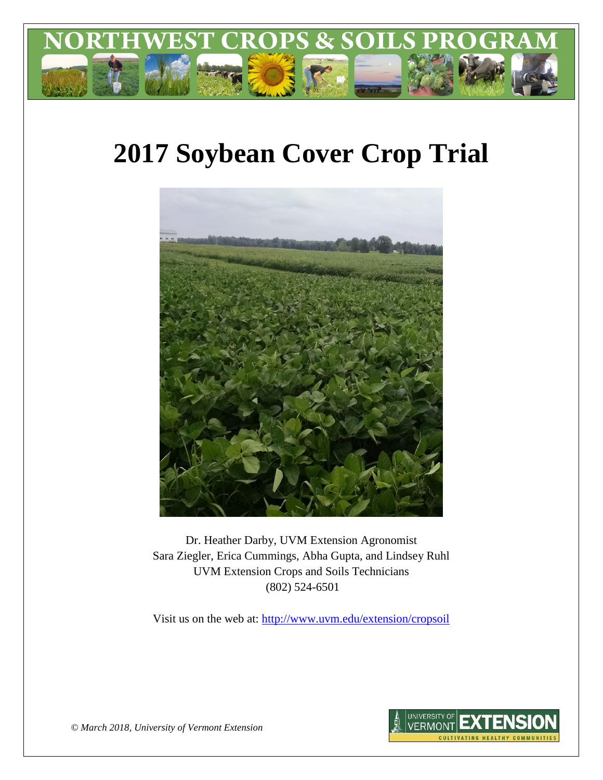

# **2017 Soybean Cover Crop Trial**



Dr. Heather Darby, UVM Extension Agronomist Sara Ziegler, Erica Cummings, Abha Gupta, and Lindsey Ruhl UVM Extension Crops and Soils Technicians (802) 524-6501

Visit us on the web at: <http://www.uvm.edu/extension/cropsoil>



*© March 2018, University of Vermont Extension*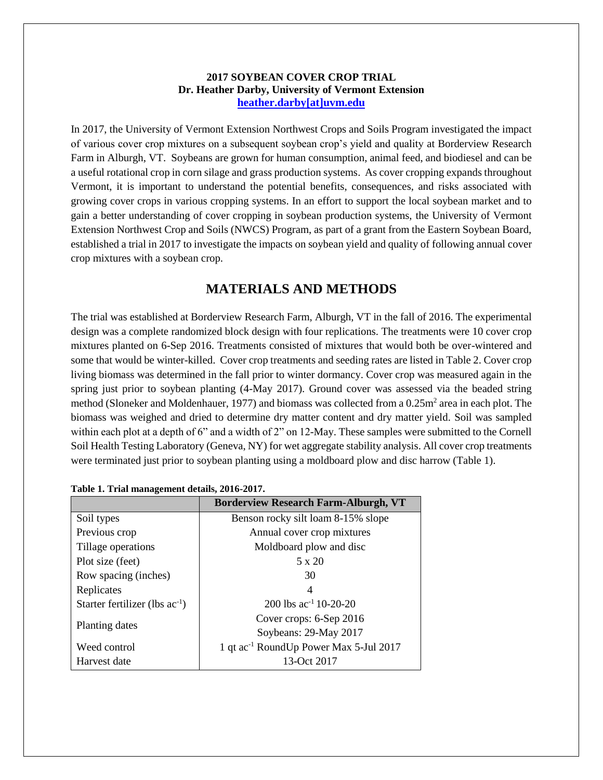### **2017 SOYBEAN COVER CROP TRIAL Dr. Heather Darby, University of Vermont Extension [heather.darby\[at\]uvm.edu](mailto:heather.darby@uvm.edu?subject=2012%20Short%20Season%20Corn%20Report)**

In 2017, the University of Vermont Extension Northwest Crops and Soils Program investigated the impact of various cover crop mixtures on a subsequent soybean crop's yield and quality at Borderview Research Farm in Alburgh, VT. Soybeans are grown for human consumption, animal feed, and biodiesel and can be a useful rotational crop in corn silage and grass production systems. As cover cropping expands throughout Vermont, it is important to understand the potential benefits, consequences, and risks associated with growing cover crops in various cropping systems. In an effort to support the local soybean market and to gain a better understanding of cover cropping in soybean production systems, the University of Vermont Extension Northwest Crop and Soils (NWCS) Program, as part of a grant from the Eastern Soybean Board, established a trial in 2017 to investigate the impacts on soybean yield and quality of following annual cover crop mixtures with a soybean crop.

# **MATERIALS AND METHODS**

The trial was established at Borderview Research Farm, Alburgh, VT in the fall of 2016. The experimental design was a complete randomized block design with four replications. The treatments were 10 cover crop mixtures planted on 6-Sep 2016. Treatments consisted of mixtures that would both be over-wintered and some that would be winter-killed. Cover crop treatments and seeding rates are listed in Table 2. Cover crop living biomass was determined in the fall prior to winter dormancy. Cover crop was measured again in the spring just prior to soybean planting (4-May 2017). Ground cover was assessed via the beaded string method (Sloneker and Moldenhauer, 1977) and biomass was collected from a 0.25m<sup>2</sup> area in each plot. The biomass was weighed and dried to determine dry matter content and dry matter yield. Soil was sampled within each plot at a depth of 6" and a width of 2" on 12-May. These samples were submitted to the Cornell Soil Health Testing Laboratory (Geneva, NY) for wet aggregate stability analysis. All cover crop treatments were terminated just prior to soybean planting using a moldboard plow and disc harrow (Table 1).

|                                     | <b>Borderview Research Farm-Alburgh, VT</b>        |  |  |
|-------------------------------------|----------------------------------------------------|--|--|
| Soil types                          | Benson rocky silt loam 8-15% slope                 |  |  |
| Previous crop                       | Annual cover crop mixtures                         |  |  |
| Tillage operations                  | Moldboard plow and disc                            |  |  |
| Plot size (feet)                    | 5 x 20                                             |  |  |
| Row spacing (inches)                | 30                                                 |  |  |
| Replicates                          | 4                                                  |  |  |
| Starter fertilizer (lbs $ac^{-1}$ ) | 200 lbs ac <sup>-1</sup> 10-20-20                  |  |  |
|                                     | Cover crops: 6-Sep 2016                            |  |  |
| Planting dates                      | Soybeans: 29-May 2017                              |  |  |
| Weed control                        | 1 qt ac <sup>-1</sup> RoundUp Power Max 5-Jul 2017 |  |  |
| Harvest date                        | 13-Oct 2017                                        |  |  |

**Table 1. Trial management details, 2016-2017.**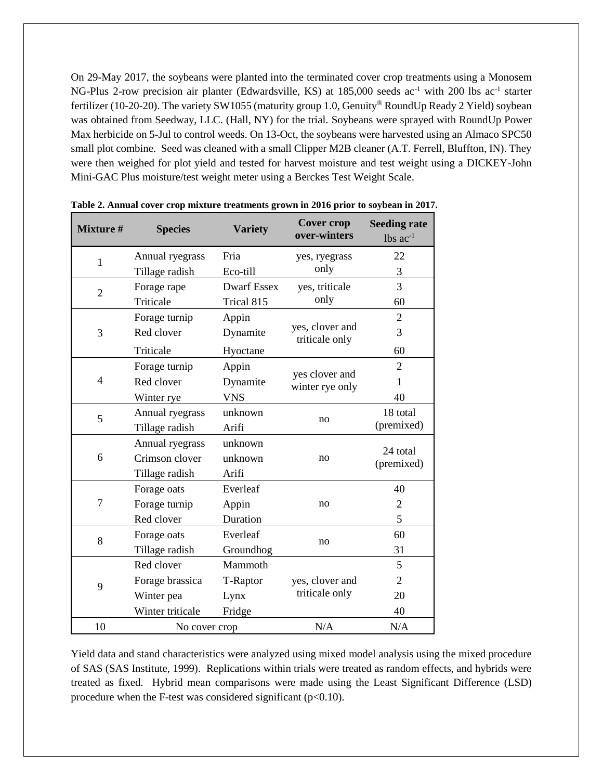On 29-May 2017, the soybeans were planted into the terminated cover crop treatments using a Monosem NG-Plus 2-row precision air planter (Edwardsville, KS) at 185,000 seeds ac<sup>-1</sup> with 200 lbs ac<sup>-1</sup> starter fertilizer (10-20-20). The variety SW1055 (maturity group 1.0, Genuity® RoundUp Ready 2 Yield) soybean was obtained from Seedway, LLC. (Hall, NY) for the trial. Soybeans were sprayed with RoundUp Power Max herbicide on 5-Jul to control weeds. On 13-Oct, the soybeans were harvested using an Almaco SPC50 small plot combine. Seed was cleaned with a small Clipper M2B cleaner (A.T. Ferrell, Bluffton, IN). They were then weighed for plot yield and tested for harvest moisture and test weight using a DICKEY-John Mini-GAC Plus moisture/test weight meter using a Berckes Test Weight Scale.

| <b>Mixture #</b> | <b>Species</b>   | <b>Variety</b>     | <b>Cover crop</b><br>over-winters | <b>Seeding rate</b><br>$lbs$ $ac^{-1}$ |
|------------------|------------------|--------------------|-----------------------------------|----------------------------------------|
| $\mathbf{1}$     | Annual ryegrass  | Fria               | yes, ryegrass                     | 22                                     |
|                  | Tillage radish   | Eco-till           | only                              | 3                                      |
| $\overline{2}$   | Forage rape      | <b>Dwarf Essex</b> | yes, triticale                    | 3                                      |
|                  | Triticale        | Trical 815         | only                              | 60                                     |
|                  | Forage turnip    | Appin              |                                   | $\overline{2}$                         |
| 3                | Red clover       | Dynamite           | yes, clover and<br>triticale only | 3                                      |
|                  | Triticale        | Hyoctane           |                                   | 60                                     |
|                  | Forage turnip    | Appin              |                                   | $\overline{2}$                         |
| $\overline{4}$   | Red clover       | Dynamite           | yes clover and<br>winter rye only | 1                                      |
|                  | Winter rye       | <b>VNS</b>         |                                   | 40                                     |
| 5                | Annual ryegrass  | unknown            |                                   | 18 total                               |
|                  | Tillage radish   | Arifi              | no                                | (premixed)                             |
|                  | Annual ryegrass  | unknown            |                                   | 24 total                               |
| 6                | Crimson clover   | unknown            | no                                | (premixed)                             |
|                  | Tillage radish   | Arifi              |                                   |                                        |
|                  | Forage oats      | Everleaf           |                                   | 40                                     |
| 7                | Forage turnip    | Appin              | no                                | $\overline{2}$                         |
|                  | Red clover       | Duration           |                                   | 5                                      |
| 8                | Forage oats      | Everleaf           | no                                | 60                                     |
|                  | Tillage radish   | Groundhog          |                                   | 31                                     |
|                  | Red clover       | Mammoth            |                                   | 5                                      |
| 9                | Forage brassica  | T-Raptor           | yes, clover and                   | $\overline{2}$                         |
|                  | Winter pea       | Lynx               | triticale only                    | 20                                     |
|                  | Winter triticale | Fridge             |                                   | 40                                     |
| 10               | No cover crop    |                    | N/A                               | N/A                                    |

**Table 2. Annual cover crop mixture treatments grown in 2016 prior to soybean in 2017.**

Yield data and stand characteristics were analyzed using mixed model analysis using the mixed procedure of SAS (SAS Institute, 1999). Replications within trials were treated as random effects, and hybrids were treated as fixed. Hybrid mean comparisons were made using the Least Significant Difference (LSD) procedure when the F-test was considered significant ( $p<0.10$ ).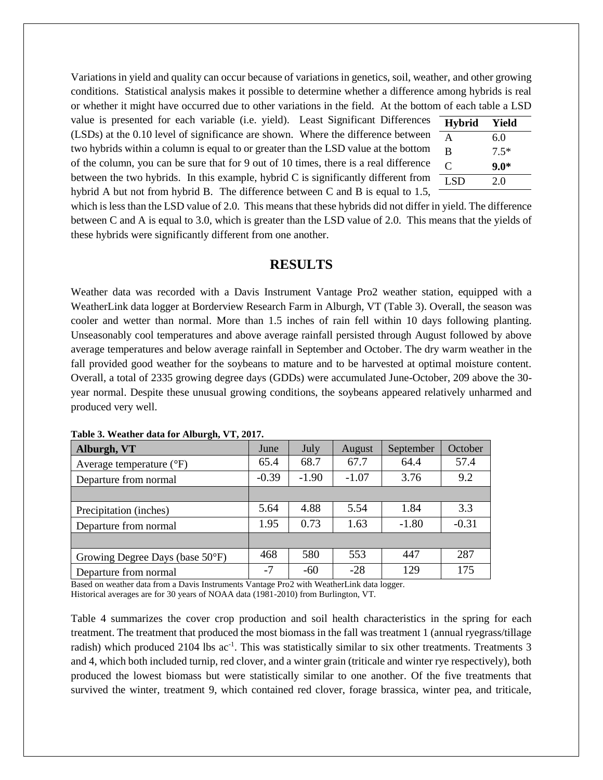Variations in yield and quality can occur because of variations in genetics, soil, weather, and other growing conditions. Statistical analysis makes it possible to determine whether a difference among hybrids is real or whether it might have occurred due to other variations in the field. At the bottom of each table a LSD

value is presented for each variable (i.e. yield). Least Significant Differences (LSDs) at the 0.10 level of significance are shown. Where the difference between two hybrids within a column is equal to or greater than the LSD value at the bottom of the column, you can be sure that for 9 out of 10 times, there is a real difference between the two hybrids. In this example, hybrid C is significantly different from hybrid A but not from hybrid B. The difference between C and B is equal to 1.5,

| <b>Hybrid</b> | Yield  |
|---------------|--------|
| A             | 6.0    |
| B             | $7.5*$ |
| C             | $9.0*$ |
| LSD           | 2.0    |

which is less than the LSD value of 2.0. This means that these hybrids did not differ in yield. The difference between C and A is equal to 3.0, which is greater than the LSD value of 2.0. This means that the yields of these hybrids were significantly different from one another.

## **RESULTS**

Weather data was recorded with a Davis Instrument Vantage Pro2 weather station, equipped with a WeatherLink data logger at Borderview Research Farm in Alburgh, VT (Table 3). Overall, the season was cooler and wetter than normal. More than 1.5 inches of rain fell within 10 days following planting. Unseasonably cool temperatures and above average rainfall persisted through August followed by above average temperatures and below average rainfall in September and October. The dry warm weather in the fall provided good weather for the soybeans to mature and to be harvested at optimal moisture content. Overall, a total of 2335 growing degree days (GDDs) were accumulated June-October, 209 above the 30 year normal. Despite these unusual growing conditions, the soybeans appeared relatively unharmed and produced very well.

| Alburgh, VT                       | June    | July    | August  | September | October |
|-----------------------------------|---------|---------|---------|-----------|---------|
| Average temperature $(^{\circ}F)$ | 65.4    | 68.7    | 67.7    | 64.4      | 57.4    |
| Departure from normal             | $-0.39$ | $-1.90$ | $-1.07$ | 3.76      | 9.2     |
|                                   |         |         |         |           |         |
| Precipitation (inches)            | 5.64    | 4.88    | 5.54    | 1.84      | 3.3     |
| Departure from normal             | 1.95    | 0.73    | 1.63    | $-1.80$   | $-0.31$ |
|                                   |         |         |         |           |         |
| Growing Degree Days (base 50°F)   | 468     | 580     | 553     | 447       | 287     |
| Departure from normal             | $-7$    | -60     | $-28$   | 129       | 175     |

**Table 3. Weather data for Alburgh, VT, 2017.**

Based on weather data from a Davis Instruments Vantage Pro2 with WeatherLink data logger. Historical averages are for 30 years of NOAA data (1981-2010) from Burlington, VT.

Table 4 summarizes the cover crop production and soil health characteristics in the spring for each treatment. The treatment that produced the most biomass in the fall was treatment 1 (annual ryegrass/tillage radish) which produced 2104 lbs ac<sup>-1</sup>. This was statistically similar to six other treatments. Treatments 3 and 4, which both included turnip, red clover, and a winter grain (triticale and winter rye respectively), both produced the lowest biomass but were statistically similar to one another. Of the five treatments that survived the winter, treatment 9, which contained red clover, forage brassica, winter pea, and triticale,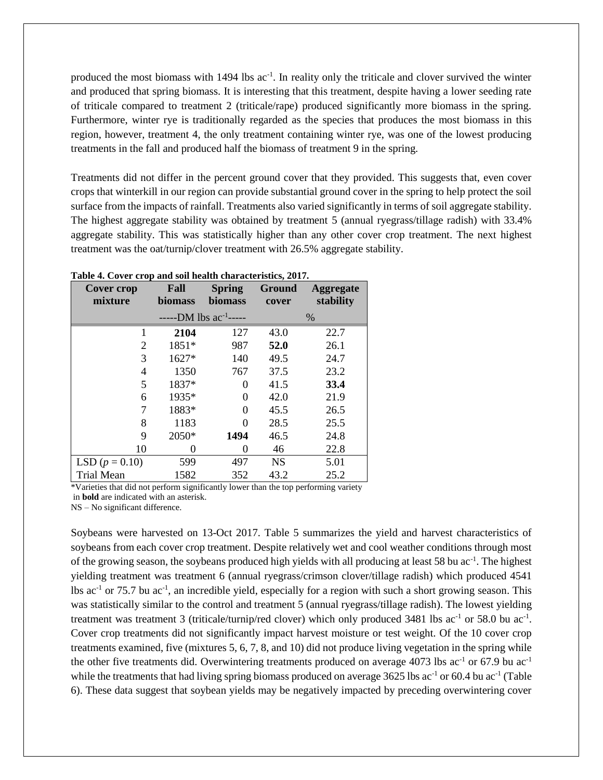produced the most biomass with  $1494$  lbs  $ac^{-1}$ . In reality only the triticale and clover survived the winter and produced that spring biomass. It is interesting that this treatment, despite having a lower seeding rate of triticale compared to treatment 2 (triticale/rape) produced significantly more biomass in the spring. Furthermore, winter rye is traditionally regarded as the species that produces the most biomass in this region, however, treatment 4, the only treatment containing winter rye, was one of the lowest producing treatments in the fall and produced half the biomass of treatment 9 in the spring.

Treatments did not differ in the percent ground cover that they provided. This suggests that, even cover crops that winterkill in our region can provide substantial ground cover in the spring to help protect the soil surface from the impacts of rainfall. Treatments also varied significantly in terms of soil aggregate stability. The highest aggregate stability was obtained by treatment 5 (annual ryegrass/tillage radish) with 33.4% aggregate stability. This was statistically higher than any other cover crop treatment. The next highest treatment was the oat/turnip/clover treatment with 26.5% aggregate stability.

| rabic $\pi$ , cover erop and son nearm emiracteristics, ror $\mu$<br><b>Cover crop</b> | Fall           | <b>Spring</b>           | Ground    | <b>Aggregate</b> |
|----------------------------------------------------------------------------------------|----------------|-------------------------|-----------|------------------|
| mixture                                                                                | <b>biomass</b> | biomass                 | cover     | stability        |
|                                                                                        |                | -DM lbs $ac^{-1}$ ----- |           | $\%$             |
|                                                                                        | 2104           | 127                     | 43.0      | 22.7             |
| 2                                                                                      | 1851*          | 987                     | 52.0      | 26.1             |
| 3                                                                                      | 1627*          | 140                     | 49.5      | 24.7             |
| $\overline{4}$                                                                         | 1350           | 767                     | 37.5      | 23.2             |
| 5                                                                                      | 1837*          | 0                       | 41.5      | 33.4             |
| 6                                                                                      | 1935*          | 0                       | 42.0      | 21.9             |
| 7                                                                                      | 1883*          | 0                       | 45.5      | 26.5             |
| 8                                                                                      | 1183           | 0                       | 28.5      | 25.5             |
| 9                                                                                      | 2050*          | 1494                    | 46.5      | 24.8             |
| 10                                                                                     | $\theta$       | 0                       | 46        | 22.8             |
| LSD $(p = 0.10)$                                                                       | 599            | 497                     | <b>NS</b> | 5.01             |
| <b>Trial Mean</b>                                                                      | 1582           | 352                     | 43.2      | 25.2             |

**Table 4. Cover crop and soil health characteristics, 2017.**

\*Varieties that did not perform significantly lower than the top performing variety in **bold** are indicated with an asterisk.

NS – No significant difference.

Soybeans were harvested on 13-Oct 2017. Table 5 summarizes the yield and harvest characteristics of soybeans from each cover crop treatment. Despite relatively wet and cool weather conditions through most of the growing season, the soybeans produced high yields with all producing at least 58 bu ac<sup>-1</sup>. The highest yielding treatment was treatment 6 (annual ryegrass/crimson clover/tillage radish) which produced 4541 lbs ac<sup>-1</sup> or 75.7 bu ac<sup>-1</sup>, an incredible yield, especially for a region with such a short growing season. This was statistically similar to the control and treatment 5 (annual ryegrass/tillage radish). The lowest yielding treatment was treatment 3 (triticale/turnip/red clover) which only produced 3481 lbs  $ac^{-1}$  or 58.0 bu  $ac^{-1}$ . Cover crop treatments did not significantly impact harvest moisture or test weight. Of the 10 cover crop treatments examined, five (mixtures 5, 6, 7, 8, and 10) did not produce living vegetation in the spring while the other five treatments did. Overwintering treatments produced on average 4073 lbs  $ac^{-1}$  or 67.9 bu  $ac^{-1}$ while the treatments that had living spring biomass produced on average  $3625$  lbs ac<sup>-1</sup> or  $60.4$  bu ac<sup>-1</sup> (Table 6). These data suggest that soybean yields may be negatively impacted by preceding overwintering cover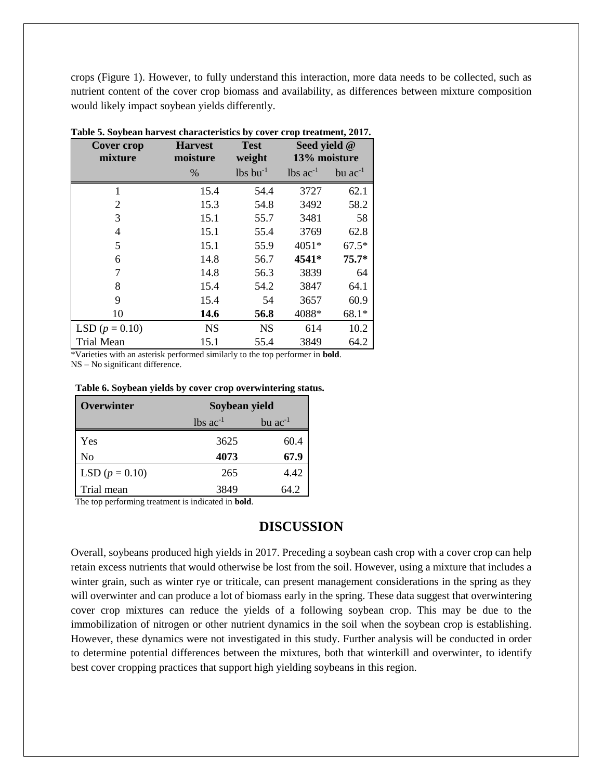crops (Figure 1). However, to fully understand this interaction, more data needs to be collected, such as nutrient content of the cover crop biomass and availability, as differences between mixture composition would likely impact soybean yields differently.

| <b>Cover crop</b><br>mixture | <b>Harvest</b><br>moisture | <b>Test</b><br>weight  | Seed yield @<br>13% moisture |              |
|------------------------------|----------------------------|------------------------|------------------------------|--------------|
|                              | $\%$                       | $lbs$ bu <sup>-1</sup> | $lbs$ ac <sup>-1</sup>       | bu $ac^{-1}$ |
| 1                            | 15.4                       | 54.4                   | 3727                         | 62.1         |
| 2                            | 15.3                       | 54.8                   | 3492                         | 58.2         |
| 3                            | 15.1                       | 55.7                   | 3481                         | 58           |
| 4                            | 15.1                       | 55.4                   | 3769                         | 62.8         |
| 5                            | 15.1                       | 55.9                   | 4051*                        | $67.5*$      |
| 6                            | 14.8                       | 56.7                   | 4541*                        | $75.7*$      |
| 7                            | 14.8                       | 56.3                   | 3839                         | 64           |
| 8                            | 15.4                       | 54.2                   | 3847                         | 64.1         |
| 9                            | 15.4                       | 54                     | 3657                         | 60.9         |
| 10                           | 14.6                       | 56.8                   | 4088*                        | $68.1*$      |
| LSD $(p = 0.10)$             | <b>NS</b>                  | <b>NS</b>              | 614                          | 10.2         |
| <b>Trial Mean</b>            | 15.1                       | 55.4                   | 3849                         | 64.2         |

|  | Table 5. Soybean harvest characteristics by cover crop treatment, 2017. |  |  |  |
|--|-------------------------------------------------------------------------|--|--|--|
|  |                                                                         |  |  |  |

\*Varieties with an asterisk performed similarly to the top performer in **bold**. NS – No significant difference.

#### **Table 6. Soybean yields by cover crop overwintering status.**

| Overwinter       | Soybean yield          |                |  |
|------------------|------------------------|----------------|--|
|                  | $lbs$ ac <sup>-1</sup> | $bu$ $ac^{-1}$ |  |
| Yes              | 3625                   | 60.4           |  |
| No               | 4073                   | 67.9           |  |
| LSD $(p = 0.10)$ | 265                    | 4.42           |  |
| Trial mean       | 3849                   | 64.2           |  |

The top performing treatment is indicated in **bold**.

## **DISCUSSION**

Overall, soybeans produced high yields in 2017. Preceding a soybean cash crop with a cover crop can help retain excess nutrients that would otherwise be lost from the soil. However, using a mixture that includes a winter grain, such as winter rye or triticale, can present management considerations in the spring as they will overwinter and can produce a lot of biomass early in the spring. These data suggest that overwintering cover crop mixtures can reduce the yields of a following soybean crop. This may be due to the immobilization of nitrogen or other nutrient dynamics in the soil when the soybean crop is establishing. However, these dynamics were not investigated in this study. Further analysis will be conducted in order to determine potential differences between the mixtures, both that winterkill and overwinter, to identify best cover cropping practices that support high yielding soybeans in this region.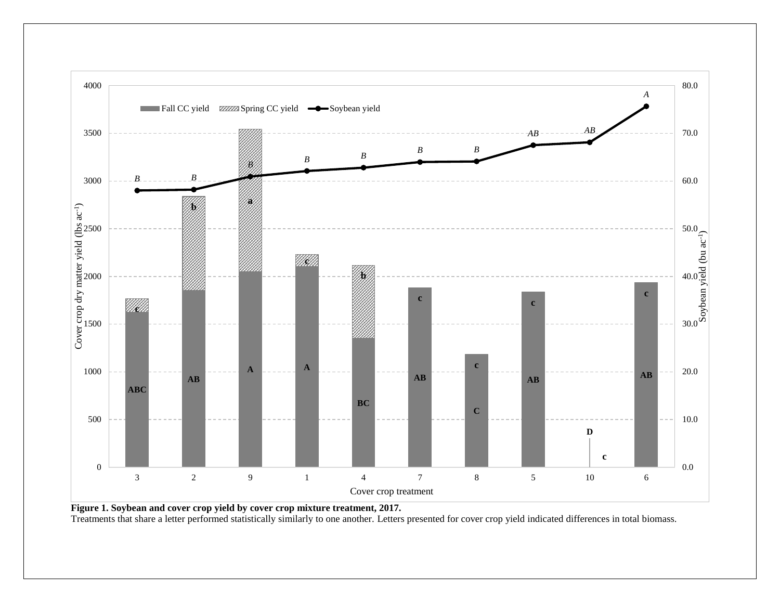

Treatments that share a letter performed statistically similarly to one another. Letters presented for cover crop yield indicated differences in total biomass.